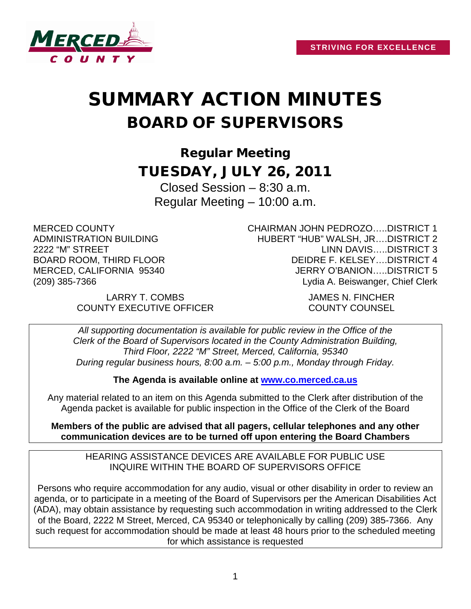

# SUMMARY ACTION MINUTES BOARD OF SUPERVISORS

Regular Meeting TUESDAY, JULY 26, 2011

Closed Session – 8:30 a.m. Regular Meeting – 10:00 a.m.

MERCED COUNTY ADMINISTRATION BUILDING 2222 "M" STREET BOARD ROOM, THIRD FLOOR MERCED, CALIFORNIA 95340 (209) 385-7366

CHAIRMAN JOHN PEDROZO…..DISTRICT 1 HUBERT "HUB" WALSH, JR….DISTRICT 2 LINN DAVIS…..DISTRICT 3 DEIDRE F. KELSEY….DISTRICT 4 JERRY O'BANION…..DISTRICT 5 Lydia A. Beiswanger, Chief Clerk

LARRY T. COMBS JAMES N. FINCHER COUNTY EXECUTIVE OFFICER COUNTY COUNSEL

*All supporting documentation is available for public review in the Office of the Clerk of the Board of Supervisors located in the County Administration Building, Third Floor, 2222 "M" Street, Merced, California, 95340 During regular business hours, 8:00 a.m. – 5:00 p.m., Monday through Friday.*

**The Agenda is available online at [www.co.merced.ca.us](http://www.co.merced.ca.us/)**

Any material related to an item on this Agenda submitted to the Clerk after distribution of the Agenda packet is available for public inspection in the Office of the Clerk of the Board

**Members of the public are advised that all pagers, cellular telephones and any other communication devices are to be turned off upon entering the Board Chambers**

HEARING ASSISTANCE DEVICES ARE AVAILABLE FOR PUBLIC USE INQUIRE WITHIN THE BOARD OF SUPERVISORS OFFICE

Persons who require accommodation for any audio, visual or other disability in order to review an agenda, or to participate in a meeting of the Board of Supervisors per the American Disabilities Act (ADA), may obtain assistance by requesting such accommodation in writing addressed to the Clerk of the Board, 2222 M Street, Merced, CA 95340 or telephonically by calling (209) 385-7366. Any such request for accommodation should be made at least 48 hours prior to the scheduled meeting for which assistance is requested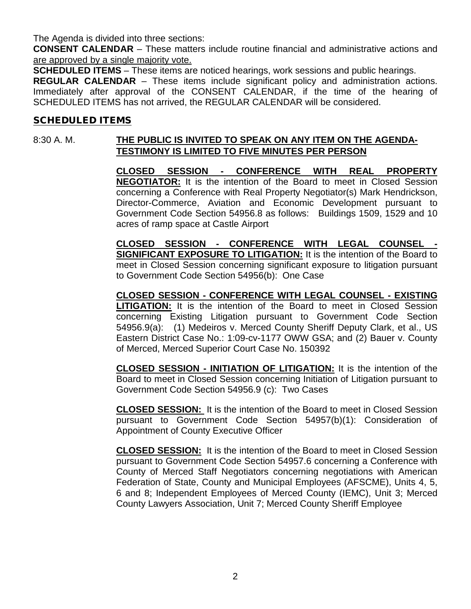The Agenda is divided into three sections:

**CONSENT CALENDAR** – These matters include routine financial and administrative actions and are approved by a single majority vote.

**SCHEDULED ITEMS** – These items are noticed hearings, work sessions and public hearings.

**REGULAR CALENDAR** – These items include significant policy and administration actions. Immediately after approval of the CONSENT CALENDAR, if the time of the hearing of SCHEDULED ITEMS has not arrived, the REGULAR CALENDAR will be considered.

#### SCHEDULED ITEMS

## 8:30 A. M. **THE PUBLIC IS INVITED TO SPEAK ON ANY ITEM ON THE AGENDA-TESTIMONY IS LIMITED TO FIVE MINUTES PER PERSON**

**CLOSED SESSION - CONFERENCE WITH REAL PROPERTY NEGOTIATOR:** It is the intention of the Board to meet in Closed Session concerning a Conference with Real Property Negotiator(s) Mark Hendrickson, Director-Commerce, Aviation and Economic Development pursuant to Government Code Section 54956.8 as follows: Buildings 1509, 1529 and 10 acres of ramp space at Castle Airport

**CLOSED SESSION - CONFERENCE WITH LEGAL COUNSEL - SIGNIFICANT EXPOSURE TO LITIGATION:** It is the intention of the Board to meet in Closed Session concerning significant exposure to litigation pursuant to Government Code Section 54956(b): One Case

**CLOSED SESSION - CONFERENCE WITH LEGAL COUNSEL - EXISTING LITIGATION:** It is the intention of the Board to meet in Closed Session concerning Existing Litigation pursuant to Government Code Section 54956.9(a): (1) Medeiros v. Merced County Sheriff Deputy Clark, et al., US Eastern District Case No.: 1:09-cv-1177 OWW GSA; and (2) Bauer v. County of Merced, Merced Superior Court Case No. 150392

**CLOSED SESSION - INITIATION OF LITIGATION:** It is the intention of the Board to meet in Closed Session concerning Initiation of Litigation pursuant to Government Code Section 54956.9 (c): Two Cases

**CLOSED SESSION:** It is the intention of the Board to meet in Closed Session pursuant to Government Code Section 54957(b)(1): Consideration of Appointment of County Executive Officer

**CLOSED SESSION:** It is the intention of the Board to meet in Closed Session pursuant to Government Code Section 54957.6 concerning a Conference with County of Merced Staff Negotiators concerning negotiations with American Federation of State, County and Municipal Employees (AFSCME), Units 4, 5, 6 and 8; Independent Employees of Merced County (IEMC), Unit 3; Merced County Lawyers Association, Unit 7; Merced County Sheriff Employee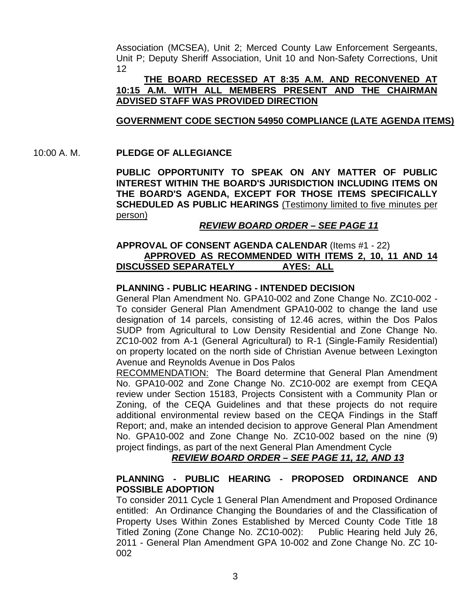Association (MCSEA), Unit 2; Merced County Law Enforcement Sergeants, Unit P; Deputy Sheriff Association, Unit 10 and Non-Safety Corrections, Unit 12

#### **THE BOARD RECESSED AT 8:35 A.M. AND RECONVENED AT 10:15 A.M. WITH ALL MEMBERS PRESENT AND THE CHAIRMAN ADVISED STAFF WAS PROVIDED DIRECTION**

## **GOVERNMENT CODE SECTION 54950 COMPLIANCE (LATE AGENDA ITEMS)**

#### 10:00 A. M. **PLEDGE OF ALLEGIANCE**

**PUBLIC OPPORTUNITY TO SPEAK ON ANY MATTER OF PUBLIC INTEREST WITHIN THE BOARD'S JURISDICTION INCLUDING ITEMS ON THE BOARD'S AGENDA, EXCEPT FOR THOSE ITEMS SPECIFICALLY SCHEDULED AS PUBLIC HEARINGS** (Testimony limited to five minutes per person)

#### *REVIEW BOARD ORDER – SEE PAGE 11*

## **APPROVAL OF CONSENT AGENDA CALENDAR** (Items #1 - 22) **APPROVED AS RECOMMENDED WITH ITEMS 2, 10, 11 AND 14 DISCUSSED SEPARATELY AYES: ALL**

#### **PLANNING - PUBLIC HEARING - INTENDED DECISION**

General Plan Amendment No. GPA10-002 and Zone Change No. ZC10-002 - To consider General Plan Amendment GPA10-002 to change the land use designation of 14 parcels, consisting of 12.46 acres, within the Dos Palos SUDP from Agricultural to Low Density Residential and Zone Change No. ZC10-002 from A-1 (General Agricultural) to R-1 (Single-Family Residential) on property located on the north side of Christian Avenue between Lexington Avenue and Reynolds Avenue in Dos Palos

RECOMMENDATION: The Board determine that General Plan Amendment No. GPA10-002 and Zone Change No. ZC10-002 are exempt from CEQA review under Section 15183, Projects Consistent with a Community Plan or Zoning, of the CEQA Guidelines and that these projects do not require additional environmental review based on the CEQA Findings in the Staff Report; and, make an intended decision to approve General Plan Amendment No. GPA10-002 and Zone Change No. ZC10-002 based on the nine (9) project findings, as part of the next General Plan Amendment Cycle

*REVIEW BOARD ORDER – SEE PAGE 11, 12, AND 13*

## **PLANNING - PUBLIC HEARING - PROPOSED ORDINANCE AND POSSIBLE ADOPTION**

To consider 2011 Cycle 1 General Plan Amendment and Proposed Ordinance entitled: An Ordinance Changing the Boundaries of and the Classification of Property Uses Within Zones Established by Merced County Code Title 18 Titled Zoning (Zone Change No. ZC10-002): Public Hearing held July 26, 2011 - General Plan Amendment GPA 10-002 and Zone Change No. ZC 10- 002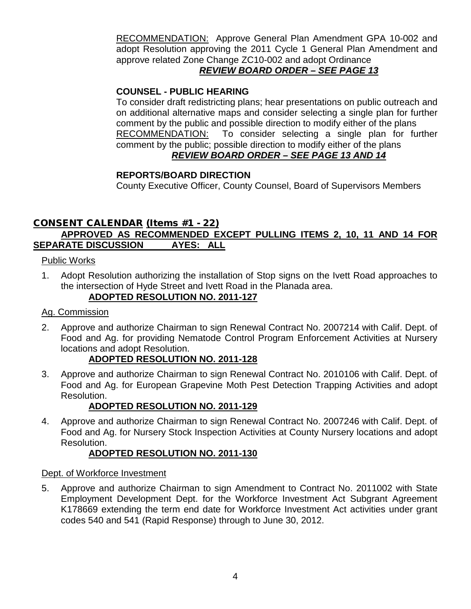RECOMMENDATION: Approve General Plan Amendment GPA 10-002 and adopt Resolution approving the 2011 Cycle 1 General Plan Amendment and approve related Zone Change ZC10-002 and adopt Ordinance

## *REVIEW BOARD ORDER – SEE PAGE 13*

## **COUNSEL - PUBLIC HEARING**

To consider draft redistricting plans; hear presentations on public outreach and on additional alternative maps and consider selecting a single plan for further comment by the public and possible direction to modify either of the plans RECOMMENDATION: To consider selecting a single plan for further comment by the public; possible direction to modify either of the plans *REVIEW BOARD ORDER – SEE PAGE 13 AND 14*

## **REPORTS/BOARD DIRECTION**

County Executive Officer, County Counsel, Board of Supervisors Members

## CONSENT CALENDAR (Items #1 - 22) **APPROVED AS RECOMMENDED EXCEPT PULLING ITEMS 2, 10, 11 AND 14 FOR SEPARATE DISCUSSION AYES: ALL**

## Public Works

1. Adopt Resolution authorizing the installation of Stop signs on the Ivett Road approaches to the intersection of Hyde Street and Ivett Road in the Planada area. **ADOPTED RESOLUTION NO. 2011-127**

## Ag. Commission

2. Approve and authorize Chairman to sign Renewal Contract No. 2007214 with Calif. Dept. of Food and Ag. for providing Nematode Control Program Enforcement Activities at Nursery locations and adopt Resolution.

## **ADOPTED RESOLUTION NO. 2011-128**

3. Approve and authorize Chairman to sign Renewal Contract No. 2010106 with Calif. Dept. of Food and Ag. for European Grapevine Moth Pest Detection Trapping Activities and adopt Resolution.

## **ADOPTED RESOLUTION NO. 2011-129**

4. Approve and authorize Chairman to sign Renewal Contract No. 2007246 with Calif. Dept. of Food and Ag. for Nursery Stock Inspection Activities at County Nursery locations and adopt Resolution.

## **ADOPTED RESOLUTION NO. 2011-130**

## Dept. of Workforce Investment

5. Approve and authorize Chairman to sign Amendment to Contract No. 2011002 with State Employment Development Dept. for the Workforce Investment Act Subgrant Agreement K178669 extending the term end date for Workforce Investment Act activities under grant codes 540 and 541 (Rapid Response) through to June 30, 2012.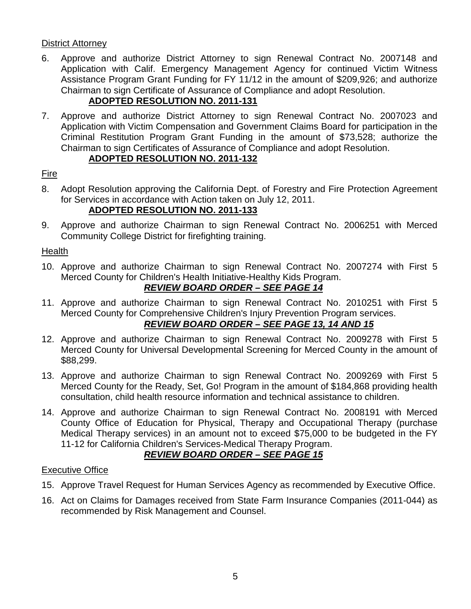## District Attorney

6. Approve and authorize District Attorney to sign Renewal Contract No. 2007148 and Application with Calif. Emergency Management Agency for continued Victim Witness Assistance Program Grant Funding for FY 11/12 in the amount of \$209,926; and authorize Chairman to sign Certificate of Assurance of Compliance and adopt Resolution.

## **ADOPTED RESOLUTION NO. 2011-131**

7. Approve and authorize District Attorney to sign Renewal Contract No. 2007023 and Application with Victim Compensation and Government Claims Board for participation in the Criminal Restitution Program Grant Funding in the amount of \$73,528; authorize the Chairman to sign Certificates of Assurance of Compliance and adopt Resolution.

## **ADOPTED RESOLUTION NO. 2011-132**

## Fire

- 8. Adopt Resolution approving the California Dept. of Forestry and Fire Protection Agreement for Services in accordance with Action taken on July 12, 2011. **ADOPTED RESOLUTION NO. 2011-133**
- 9. Approve and authorize Chairman to sign Renewal Contract No. 2006251 with Merced Community College District for firefighting training.

## Health

10. Approve and authorize Chairman to sign Renewal Contract No. 2007274 with First 5 Merced County for Children's Health Initiative-Healthy Kids Program.

## *REVIEW BOARD ORDER – SEE PAGE 14*

11. Approve and authorize Chairman to sign Renewal Contract No. 2010251 with First 5 Merced County for Comprehensive Children's Injury Prevention Program services.

## *REVIEW BOARD ORDER – SEE PAGE 13, 14 AND 15*

- 12. Approve and authorize Chairman to sign Renewal Contract No. 2009278 with First 5 Merced County for Universal Developmental Screening for Merced County in the amount of \$88,299.
- 13. Approve and authorize Chairman to sign Renewal Contract No. 2009269 with First 5 Merced County for the Ready, Set, Go! Program in the amount of \$184,868 providing health consultation, child health resource information and technical assistance to children.
- 14. Approve and authorize Chairman to sign Renewal Contract No. 2008191 with Merced County Office of Education for Physical, Therapy and Occupational Therapy (purchase Medical Therapy services) in an amount not to exceed \$75,000 to be budgeted in the FY 11-12 for California Children's Services-Medical Therapy Program.

## *REVIEW BOARD ORDER – SEE PAGE 15*

## Executive Office

- 15. Approve Travel Request for Human Services Agency as recommended by Executive Office.
- 16. Act on Claims for Damages received from State Farm Insurance Companies (2011-044) as recommended by Risk Management and Counsel.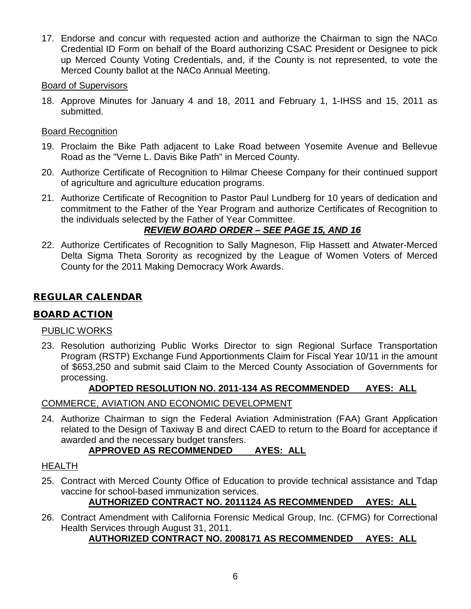17. Endorse and concur with requested action and authorize the Chairman to sign the NACo Credential ID Form on behalf of the Board authorizing CSAC President or Designee to pick up Merced County Voting Credentials, and, if the County is not represented, to vote the Merced County ballot at the NACo Annual Meeting.

## Board of Supervisors

18. Approve Minutes for January 4 and 18, 2011 and February 1, 1-IHSS and 15, 2011 as submitted.

## Board Recognition

- 19. Proclaim the Bike Path adjacent to Lake Road between Yosemite Avenue and Bellevue Road as the "Verne L. Davis Bike Path" in Merced County.
- 20. Authorize Certificate of Recognition to Hilmar Cheese Company for their continued support of agriculture and agriculture education programs.
- 21. Authorize Certificate of Recognition to Pastor Paul Lundberg for 10 years of dedication and commitment to the Father of the Year Program and authorize Certificates of Recognition to the individuals selected by the Father of Year Committee.

## *REVIEW BOARD ORDER – SEE PAGE 15, AND 16*

22. Authorize Certificates of Recognition to Sally Magneson, Flip Hassett and Atwater-Merced Delta Sigma Theta Sorority as recognized by the League of Women Voters of Merced County for the 2011 Making Democracy Work Awards.

## REGULAR CALENDAR

## BOARD ACTION

## PUBLIC WORKS

23. Resolution authorizing Public Works Director to sign Regional Surface Transportation Program (RSTP) Exchange Fund Apportionments Claim for Fiscal Year 10/11 in the amount of \$653,250 and submit said Claim to the Merced County Association of Governments for processing.

## **ADOPTED RESOLUTION NO. 2011-134 AS RECOMMENDED AYES: ALL**

## COMMERCE, AVIATION AND ECONOMIC DEVELOPMENT

24. Authorize Chairman to sign the Federal Aviation Administration (FAA) Grant Application related to the Design of Taxiway B and direct CAED to return to the Board for acceptance if awarded and the necessary budget transfers.

## **APPROVED AS RECOMMENDED AYES: ALL**

## HEALTH

25. Contract with Merced County Office of Education to provide technical assistance and Tdap vaccine for school-based immunization services.

## **AUTHORIZED CONTRACT NO. 2011124 AS RECOMMENDED AYES: ALL**

26. Contract Amendment with California Forensic Medical Group, Inc. (CFMG) for Correctional Health Services through August 31, 2011.

## **AUTHORIZED CONTRACT NO. 2008171 AS RECOMMENDED AYES: ALL**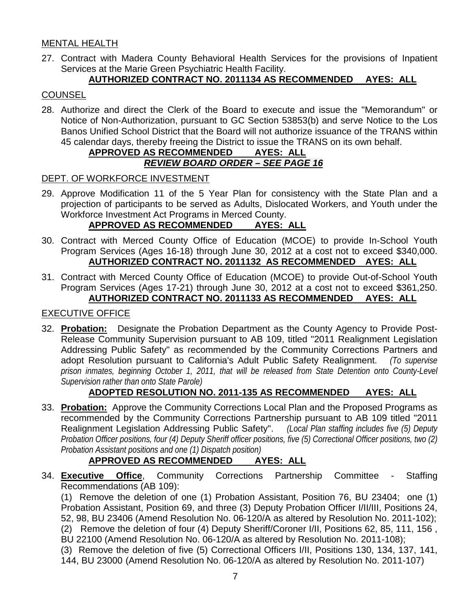## MENTAL HEALTH

27. Contract with Madera County Behavioral Health Services for the provisions of Inpatient Services at the Marie Green Psychiatric Health Facility.

## **AUTHORIZED CONTRACT NO. 2011134 AS RECOMMENDED AYES: ALL**

## **COUNSEL**

28. Authorize and direct the Clerk of the Board to execute and issue the "Memorandum" or Notice of Non-Authorization, pursuant to GC Section 53853(b) and serve Notice to the Los Banos Unified School District that the Board will not authorize issuance of the TRANS within 45 calendar days, thereby freeing the District to issue the TRANS on its own behalf.

## **APPROVED AS RECOMMENDED AYES: ALL** *REVIEW BOARD ORDER – SEE PAGE 16*

#### DEPT. OF WORKFORCE INVESTMENT

29. Approve Modification 11 of the 5 Year Plan for consistency with the State Plan and a projection of participants to be served as Adults, Dislocated Workers, and Youth under the Workforce Investment Act Programs in Merced County.<br>**APPROVED AS RECOMMENDED** AYES: ALL

## **APPROVED AS RECOMMENDED**

- 30. Contract with Merced County Office of Education (MCOE) to provide In-School Youth Program Services (Ages 16-18) through June 30, 2012 at a cost not to exceed \$340,000. **AUTHORIZED CONTRACT NO. 2011132 AS RECOMMENDED AYES: ALL**
- 31. Contract with Merced County Office of Education (MCOE) to provide Out-of-School Youth Program Services (Ages 17-21) through June 30, 2012 at a cost not to exceed \$361,250. **AUTHORIZED CONTRACT NO. 2011133 AS RECOMMENDED AYES: ALL**

## EXECUTIVE OFFICE

32. **Probation:** Designate the Probation Department as the County Agency to Provide Post-Release Community Supervision pursuant to AB 109, titled "2011 Realignment Legislation Addressing Public Safety" as recommended by the Community Corrections Partners and adopt Resolution pursuant to California's Adult Public Safety Realignment. *(To supervise prison inmates, beginning October 1, 2011, that will be released from State Detention onto County-Level Supervision rather than onto State Parole)*

## **ADOPTED RESOLUTION NO. 2011-135 AS RECOMMENDED AYES: ALL**

33. **Probation:** Approve the Community Corrections Local Plan and the Proposed Programs as recommended by the Community Corrections Partnership pursuant to AB 109 titled "2011 Realignment Legislation Addressing Public Safety". *(Local Plan staffing includes five (5) Deputy Probation Officer positions, four (4) Deputy Sheriff officer positions, five (5) Correctional Officer positions, two (2) Probation Assistant positions and one (1) Dispatch position)*

## **APPROVED AS RECOMMENDED AYES: ALL**

34. **Executive Office**, Community Corrections Partnership Committee - Staffing Recommendations (AB 109):

(1) Remove the deletion of one (1) Probation Assistant, Position 76, BU 23404; one (1) Probation Assistant, Position 69, and three (3) Deputy Probation Officer I/II/III, Positions 24, 52, 98, BU 23406 (Amend Resolution No. 06-120/A as altered by Resolution No. 2011-102); (2) Remove the deletion of four (4) Deputy Sheriff/Coroner I/II, Positions 62, 85, 111, 156 , BU 22100 (Amend Resolution No. 06-120/A as altered by Resolution No. 2011-108); (3) Remove the deletion of five (5) Correctional Officers I/II, Positions 130, 134, 137, 141,

144, BU 23000 (Amend Resolution No. 06-120/A as altered by Resolution No. 2011-107)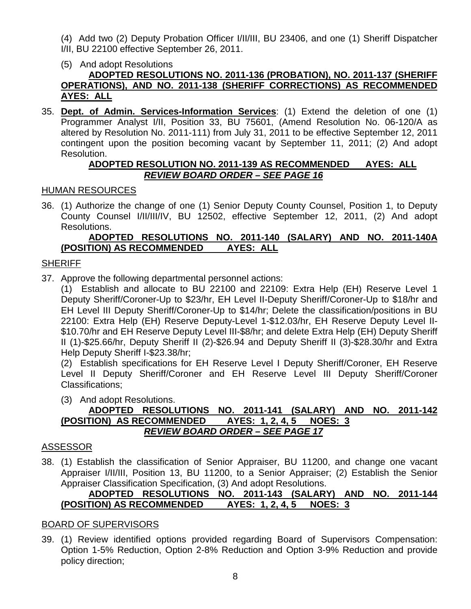- (4) Add two (2) Deputy Probation Officer I/II/III, BU 23406, and one (1) Sheriff Dispatcher I/II, BU 22100 effective September 26, 2011.
- (5) And adopt Resolutions **ADOPTED RESOLUTIONS NO. 2011-136 (PROBATION), NO. 2011-137 (SHERIFF OPERATIONS), AND NO. 2011-138 (SHERIFF CORRECTIONS) AS RECOMMENDED AYES: ALL**
- 35. **Dept. of Admin. Services-Information Services**: (1) Extend the deletion of one (1) Programmer Analyst I/II, Position 33, BU 75601, (Amend Resolution No. 06-120/A as altered by Resolution No. 2011-111) from July 31, 2011 to be effective September 12, 2011 contingent upon the position becoming vacant by September 11, 2011; (2) And adopt Resolution.

## **ADOPTED RESOLUTION NO. 2011-139 AS RECOMMENDED AYES: ALL** *REVIEW BOARD ORDER – SEE PAGE 16*

## HUMAN RESOURCES

36. (1) Authorize the change of one (1) Senior Deputy County Counsel, Position 1, to Deputy County Counsel I/II/III/IV, BU 12502, effective September 12, 2011, (2) And adopt Resolutions.

## **ADOPTED RESOLUTIONS NO. 2011-140 (SALARY) AND NO. 2011-140A (POSITION) AS RECOMMENDED AYES: ALL**

## **SHERIFF**

37. Approve the following departmental personnel actions:

(1) Establish and allocate to BU 22100 and 22109: Extra Help (EH) Reserve Level 1 Deputy Sheriff/Coroner-Up to \$23/hr, EH Level II-Deputy Sheriff/Coroner-Up to \$18/hr and EH Level III Deputy Sheriff/Coroner-Up to \$14/hr; Delete the classification/positions in BU 22100: Extra Help (EH) Reserve Deputy-Level 1-\$12.03/hr, EH Reserve Deputy Level II- \$10.70/hr and EH Reserve Deputy Level III-\$8/hr; and delete Extra Help (EH) Deputy Sheriff II (1)-\$25.66/hr, Deputy Sheriff II (2)-\$26.94 and Deputy Sheriff II (3)-\$28.30/hr and Extra Help Deputy Sheriff I-\$23.38/hr;

(2) Establish specifications for EH Reserve Level I Deputy Sheriff/Coroner, EH Reserve Level II Deputy Sheriff/Coroner and EH Reserve Level III Deputy Sheriff/Coroner Classifications;

(3) And adopt Resolutions.

## **ADOPTED RESOLUTIONS NO. 2011-141 (SALARY) AND NO. 2011-142 (POSITION) AS RECOMMENDED AYES: 1, 2, 4, 5 NOES: 3** *REVIEW BOARD ORDER – SEE PAGE 17*

## ASSESSOR

38. (1) Establish the classification of Senior Appraiser, BU 11200, and change one vacant Appraiser I/II/III, Position 13, BU 11200, to a Senior Appraiser; (2) Establish the Senior Appraiser Classification Specification, (3) And adopt Resolutions.

## **ADOPTED RESOLUTIONS NO. 2011-143 (SALARY) AND NO. 2011-144 (POSITION) AS RECOMMENDED AYES: 1, 2, 4, 5 NOES: 3**

## BOARD OF SUPERVISORS

39. (1) Review identified options provided regarding Board of Supervisors Compensation: Option 1-5% Reduction, Option 2-8% Reduction and Option 3-9% Reduction and provide policy direction;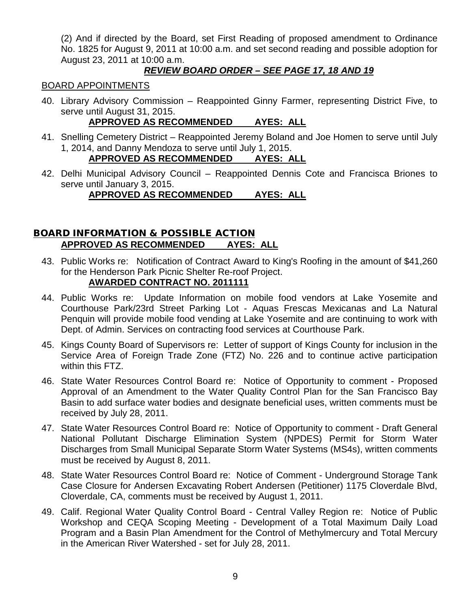(2) And if directed by the Board, set First Reading of proposed amendment to Ordinance No. 1825 for August 9, 2011 at 10:00 a.m. and set second reading and possible adoption for August 23, 2011 at 10:00 a.m.

## *REVIEW BOARD ORDER – SEE PAGE 17, 18 AND 19*

#### BOARD APPOINTMENTS

40. Library Advisory Commission – Reappointed Ginny Farmer, representing District Five, to serve until August 31, 2015.

## **APPROVED AS RECOMMENDED AYES: ALL**

41. Snelling Cemetery District – Reappointed Jeremy Boland and Joe Homen to serve until July 1, 2014, and Danny Mendoza to serve until July 1, 2015.

## **APPROVED AS RECOMMENDED AYES: ALL**

42. Delhi Municipal Advisory Council – Reappointed Dennis Cote and Francisca Briones to serve until January 3, 2015.

## **APPROVED AS RECOMMENDED AYES: ALL**

## BOARD INFORMATION & POSSIBLE ACTION **APPROVED AS RECOMMENDED AYES: ALL**

- 43. Public Works re: Notification of Contract Award to King's Roofing in the amount of \$41,260 for the Henderson Park Picnic Shelter Re-roof Project. **AWARDED CONTRACT NO. 2011111**
- 44. Public Works re: Update Information on mobile food vendors at Lake Yosemite and Courthouse Park/23rd Street Parking Lot - Aquas Frescas Mexicanas and La Natural Penquin will provide mobile food vending at Lake Yosemite and are continuing to work with Dept. of Admin. Services on contracting food services at Courthouse Park.
- 45. Kings County Board of Supervisors re: Letter of support of Kings County for inclusion in the Service Area of Foreign Trade Zone (FTZ) No. 226 and to continue active participation within this FTZ.
- 46. State Water Resources Control Board re: Notice of Opportunity to comment Proposed Approval of an Amendment to the Water Quality Control Plan for the San Francisco Bay Basin to add surface water bodies and designate beneficial uses, written comments must be received by July 28, 2011.
- 47. State Water Resources Control Board re: Notice of Opportunity to comment Draft General National Pollutant Discharge Elimination System (NPDES) Permit for Storm Water Discharges from Small Municipal Separate Storm Water Systems (MS4s), written comments must be received by August 8, 2011.
- 48. State Water Resources Control Board re: Notice of Comment Underground Storage Tank Case Closure for Andersen Excavating Robert Andersen (Petitioner) 1175 Cloverdale Blvd, Cloverdale, CA, comments must be received by August 1, 2011.
- 49. Calif. Regional Water Quality Control Board Central Valley Region re: Notice of Public Workshop and CEQA Scoping Meeting - Development of a Total Maximum Daily Load Program and a Basin Plan Amendment for the Control of Methylmercury and Total Mercury in the American River Watershed - set for July 28, 2011.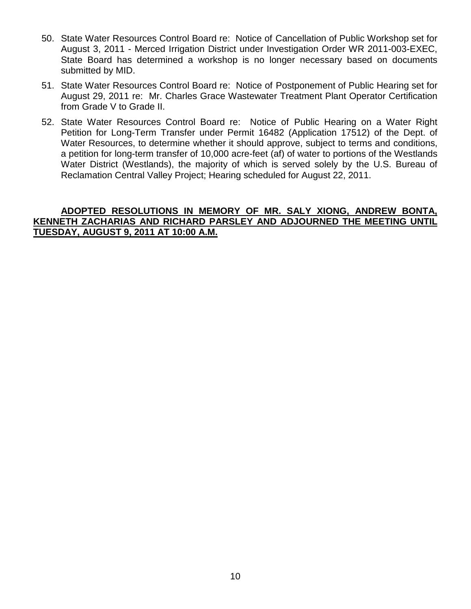- 50. State Water Resources Control Board re: Notice of Cancellation of Public Workshop set for August 3, 2011 - Merced Irrigation District under Investigation Order WR 2011-003-EXEC, State Board has determined a workshop is no longer necessary based on documents submitted by MID.
- 51. State Water Resources Control Board re: Notice of Postponement of Public Hearing set for August 29, 2011 re: Mr. Charles Grace Wastewater Treatment Plant Operator Certification from Grade V to Grade II.
- 52. State Water Resources Control Board re: Notice of Public Hearing on a Water Right Petition for Long-Term Transfer under Permit 16482 (Application 17512) of the Dept. of Water Resources, to determine whether it should approve, subject to terms and conditions, a petition for long-term transfer of 10,000 acre-feet (af) of water to portions of the Westlands Water District (Westlands), the majority of which is served solely by the U.S. Bureau of Reclamation Central Valley Project; Hearing scheduled for August 22, 2011.

## **ADOPTED RESOLUTIONS IN MEMORY OF MR. SALY XIONG, ANDREW BONTA, KENNETH ZACHARIAS AND RICHARD PARSLEY AND ADJOURNED THE MEETING UNTIL TUESDAY, AUGUST 9, 2011 AT 10:00 A.M.**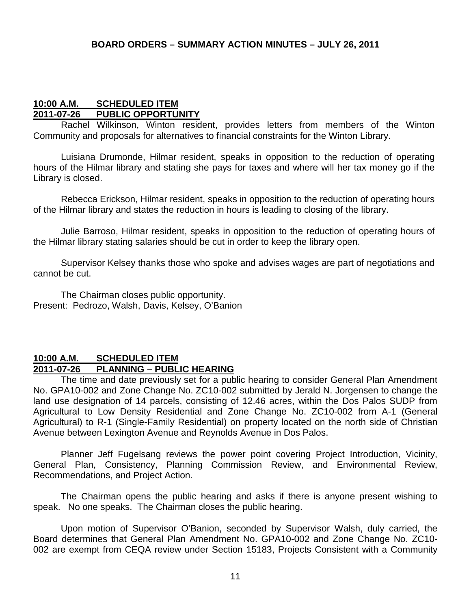## **10:00 A.M. SCHEDULED ITEM 2011-07-26 PUBLIC OPPORTUNITY**

Rachel Wilkinson, Winton resident, provides letters from members of the Winton Community and proposals for alternatives to financial constraints for the Winton Library.

Luisiana Drumonde, Hilmar resident, speaks in opposition to the reduction of operating hours of the Hilmar library and stating she pays for taxes and where will her tax money go if the Library is closed.

Rebecca Erickson, Hilmar resident, speaks in opposition to the reduction of operating hours of the Hilmar library and states the reduction in hours is leading to closing of the library.

Julie Barroso, Hilmar resident, speaks in opposition to the reduction of operating hours of the Hilmar library stating salaries should be cut in order to keep the library open.

Supervisor Kelsey thanks those who spoke and advises wages are part of negotiations and cannot be cut.

The Chairman closes public opportunity. Present: Pedrozo, Walsh, Davis, Kelsey, O'Banion

## **10:00 A.M. SCHEDULED ITEM 2011-07-26 PLANNING – PUBLIC HEARING**

The time and date previously set for a public hearing to consider General Plan Amendment No. GPA10-002 and Zone Change No. ZC10-002 submitted by Jerald N. Jorgensen to change the land use designation of 14 parcels, consisting of 12.46 acres, within the Dos Palos SUDP from Agricultural to Low Density Residential and Zone Change No. ZC10-002 from A-1 (General Agricultural) to R-1 (Single-Family Residential) on property located on the north side of Christian Avenue between Lexington Avenue and Reynolds Avenue in Dos Palos.

Planner Jeff Fugelsang reviews the power point covering Project Introduction, Vicinity, General Plan, Consistency, Planning Commission Review, and Environmental Review, Recommendations, and Project Action.

The Chairman opens the public hearing and asks if there is anyone present wishing to speak. No one speaks. The Chairman closes the public hearing.

Upon motion of Supervisor O'Banion, seconded by Supervisor Walsh, duly carried, the Board determines that General Plan Amendment No. GPA10-002 and Zone Change No. ZC10- 002 are exempt from CEQA review under Section 15183, Projects Consistent with a Community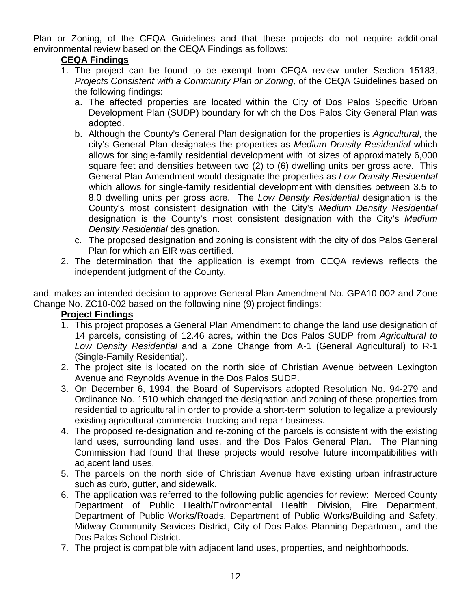Plan or Zoning, of the CEQA Guidelines and that these projects do not require additional environmental review based on the CEQA Findings as follows:

## **CEQA Findings**

- 1. The project can be found to be exempt from CEQA review under Section 15183, *Projects Consistent with a Community Plan or Zoning,* of the CEQA Guidelines based on the following findings:
	- a. The affected properties are located within the City of Dos Palos Specific Urban Development Plan (SUDP) boundary for which the Dos Palos City General Plan was adopted.
	- b. Although the County's General Plan designation for the properties is *Agricultural*, the city's General Plan designates the properties as *Medium Density Residential* which allows for single-family residential development with lot sizes of approximately 6,000 square feet and densities between two (2) to (6) dwelling units per gross acre. This General Plan Amendment would designate the properties as *Low Density Residential* which allows for single-family residential development with densities between 3.5 to 8.0 dwelling units per gross acre. The *Low Density Residential* designation is the County's most consistent designation with the City's *Medium Density Residential* designation is the County's most consistent designation with the City's *Medium Density Residential* designation.
	- c. The proposed designation and zoning is consistent with the city of dos Palos General Plan for which an EIR was certified.
- 2. The determination that the application is exempt from CEQA reviews reflects the independent judgment of the County.

and, makes an intended decision to approve General Plan Amendment No. GPA10-002 and Zone Change No. ZC10-002 based on the following nine (9) project findings:

## **Project Findings**

- 1. This project proposes a General Plan Amendment to change the land use designation of 14 parcels, consisting of 12.46 acres, within the Dos Palos SUDP from *Agricultural to Low Density Residential* and a Zone Change from A-1 (General Agricultural) to R-1 (Single-Family Residential).
- 2. The project site is located on the north side of Christian Avenue between Lexington Avenue and Reynolds Avenue in the Dos Palos SUDP.
- 3. On December 6, 1994, the Board of Supervisors adopted Resolution No. 94-279 and Ordinance No. 1510 which changed the designation and zoning of these properties from residential to agricultural in order to provide a short-term solution to legalize a previously existing agricultural-commercial trucking and repair business.
- 4. The proposed re-designation and re-zoning of the parcels is consistent with the existing land uses, surrounding land uses, and the Dos Palos General Plan. The Planning Commission had found that these projects would resolve future incompatibilities with adjacent land uses.
- 5. The parcels on the north side of Christian Avenue have existing urban infrastructure such as curb, gutter, and sidewalk.
- 6. The application was referred to the following public agencies for review: Merced County Department of Public Health/Environmental Health Division, Fire Department, Department of Public Works/Roads, Department of Public Works/Building and Safety, Midway Community Services District, City of Dos Palos Planning Department, and the Dos Palos School District.
- 7. The project is compatible with adjacent land uses, properties, and neighborhoods.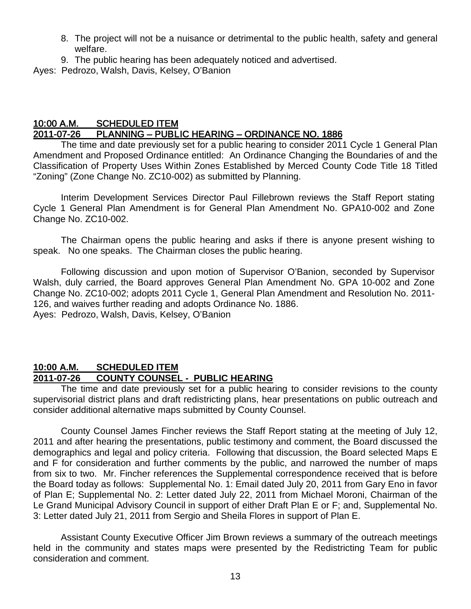- 8. The project will not be a nuisance or detrimental to the public health, safety and general welfare.
- 9. The public hearing has been adequately noticed and advertised.

Ayes: Pedrozo, Walsh, Davis, Kelsey, O'Banion

## 10:00 A.M. SCHEDULED ITEM 2011-07-26 PLANNING – PUBLIC HEARING – ORDINANCE NO. 1886

 The time and date previously set for a public hearing to consider 2011 Cycle 1 General Plan Amendment and Proposed Ordinance entitled: An Ordinance Changing the Boundaries of and the Classification of Property Uses Within Zones Established by Merced County Code Title 18 Titled "Zoning" (Zone Change No. ZC10-002) as submitted by Planning.

Interim Development Services Director Paul Fillebrown reviews the Staff Report stating Cycle 1 General Plan Amendment is for General Plan Amendment No. GPA10-002 and Zone Change No. ZC10-002.

The Chairman opens the public hearing and asks if there is anyone present wishing to speak. No one speaks. The Chairman closes the public hearing.

Following discussion and upon motion of Supervisor O'Banion, seconded by Supervisor Walsh, duly carried, the Board approves General Plan Amendment No. GPA 10-002 and Zone Change No. ZC10-002; adopts 2011 Cycle 1, General Plan Amendment and Resolution No. 2011- 126, and waives further reading and adopts Ordinance No. 1886. Ayes: Pedrozo, Walsh, Davis, Kelsey, O'Banion

## **10:00 A.M. SCHEDULED ITEM 2011-07-26 COUNTY COUNSEL - PUBLIC HEARING**

The time and date previously set for a public hearing to consider revisions to the county supervisorial district plans and draft redistricting plans, hear presentations on public outreach and consider additional alternative maps submitted by County Counsel.

County Counsel James Fincher reviews the Staff Report stating at the meeting of July 12, 2011 and after hearing the presentations, public testimony and comment, the Board discussed the demographics and legal and policy criteria. Following that discussion, the Board selected Maps E and F for consideration and further comments by the public, and narrowed the number of maps from six to two. Mr. Fincher references the Supplemental correspondence received that is before the Board today as follows: Supplemental No. 1: Email dated July 20, 2011 from Gary Eno in favor of Plan E; Supplemental No. 2: Letter dated July 22, 2011 from Michael Moroni, Chairman of the Le Grand Municipal Advisory Council in support of either Draft Plan E or F; and, Supplemental No. 3: Letter dated July 21, 2011 from Sergio and Sheila Flores in support of Plan E.

Assistant County Executive Officer Jim Brown reviews a summary of the outreach meetings held in the community and states maps were presented by the Redistricting Team for public consideration and comment.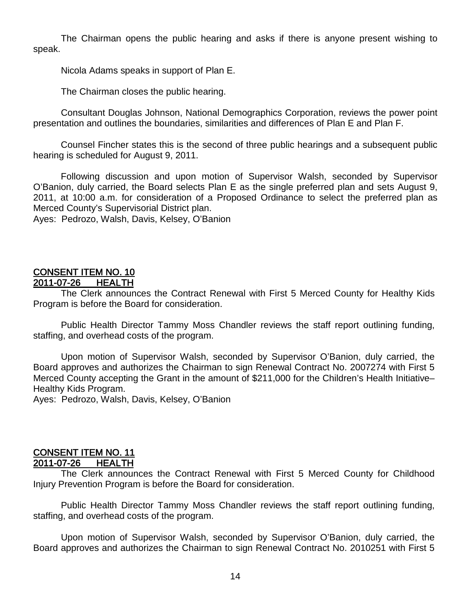The Chairman opens the public hearing and asks if there is anyone present wishing to speak.

Nicola Adams speaks in support of Plan E.

The Chairman closes the public hearing.

Consultant Douglas Johnson, National Demographics Corporation, reviews the power point presentation and outlines the boundaries, similarities and differences of Plan E and Plan F.

Counsel Fincher states this is the second of three public hearings and a subsequent public hearing is scheduled for August 9, 2011.

Following discussion and upon motion of Supervisor Walsh, seconded by Supervisor O'Banion, duly carried, the Board selects Plan E as the single preferred plan and sets August 9, 2011, at 10:00 a.m. for consideration of a Proposed Ordinance to select the preferred plan as Merced County's Supervisorial District plan.

Ayes: Pedrozo, Walsh, Davis, Kelsey, O'Banion

#### CONSENT ITEM NO. 10 2011-07-26 HEALTH

 The Clerk announces the Contract Renewal with First 5 Merced County for Healthy Kids Program is before the Board for consideration.

Public Health Director Tammy Moss Chandler reviews the staff report outlining funding, staffing, and overhead costs of the program.

Upon motion of Supervisor Walsh, seconded by Supervisor O'Banion, duly carried, the Board approves and authorizes the Chairman to sign Renewal Contract No. 2007274 with First 5 Merced County accepting the Grant in the amount of \$211,000 for the Children's Health Initiative– Healthy Kids Program.

Ayes: Pedrozo, Walsh, Davis, Kelsey, O'Banion

#### CONSENT ITEM NO. 11 2011-07-26 HEALTH

 The Clerk announces the Contract Renewal with First 5 Merced County for Childhood Injury Prevention Program is before the Board for consideration.

Public Health Director Tammy Moss Chandler reviews the staff report outlining funding, staffing, and overhead costs of the program.

Upon motion of Supervisor Walsh, seconded by Supervisor O'Banion, duly carried, the Board approves and authorizes the Chairman to sign Renewal Contract No. 2010251 with First 5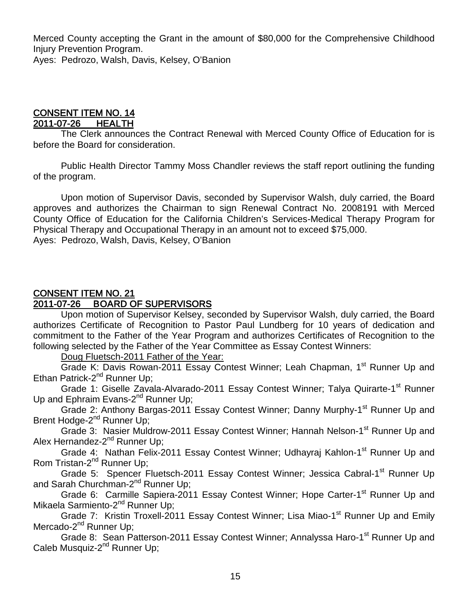Merced County accepting the Grant in the amount of \$80,000 for the Comprehensive Childhood Injury Prevention Program. Ayes: Pedrozo, Walsh, Davis, Kelsey, O'Banion

#### CONSENT ITEM NO. 14 2011-07-26 HEALTH

 The Clerk announces the Contract Renewal with Merced County Office of Education for is before the Board for consideration.

Public Health Director Tammy Moss Chandler reviews the staff report outlining the funding of the program.

Upon motion of Supervisor Davis, seconded by Supervisor Walsh, duly carried, the Board approves and authorizes the Chairman to sign Renewal Contract No. 2008191 with Merced County Office of Education for the California Children's Services-Medical Therapy Program for Physical Therapy and Occupational Therapy in an amount not to exceed \$75,000. Ayes: Pedrozo, Walsh, Davis, Kelsey, O'Banion

## CONSENT ITEM NO. 21

## 2011-07-26 BOARD OF SUPERVISORS

Upon motion of Supervisor Kelsey, seconded by Supervisor Walsh, duly carried, the Board authorizes Certificate of Recognition to Pastor Paul Lundberg for 10 years of dedication and commitment to the Father of the Year Program and authorizes Certificates of Recognition to the following selected by the Father of the Year Committee as Essay Contest Winners:

## Doug Fluetsch-2011 Father of the Year:

Grade K: Davis Rowan-2011 Essay Contest Winner; Leah Chapman, 1<sup>st</sup> Runner Up and Ethan Patrick-2<sup>nd</sup> Runner Up;

Grade 1: Giselle Zavala-Alvarado-2011 Essay Contest Winner; Talya Quirarte-1<sup>st</sup> Runner Up and Ephraim Evans-2<sup>nd</sup> Runner Up;

Grade 2: Anthony Bargas-2011 Essay Contest Winner; Danny Murphy-1<sup>st</sup> Runner Up and Brent Hodge-2<sup>nd</sup> Runner Up;

Grade 3: Nasier Muldrow-2011 Essay Contest Winner; Hannah Nelson-1<sup>st</sup> Runner Up and Alex Hernandez-2<sup>nd</sup> Runner Up;

Grade 4: Nathan Felix-2011 Essay Contest Winner; Udhayraj Kahlon-1<sup>st</sup> Runner Up and Rom Tristan-2<sup>nd</sup> Runner Up;

Grade 5: Spencer Fluetsch-2011 Essay Contest Winner; Jessica Cabral-1<sup>st</sup> Runner Up and Sarah Churchman-2<sup>nd</sup> Runner Up;

Grade 6: Carmille Sapiera-2011 Essay Contest Winner; Hope Carter-1<sup>st</sup> Runner Up and Mikaela Sarmiento-2<sup>nd</sup> Runner Up;

Grade 7: Kristin Troxell-2011 Essay Contest Winner; Lisa Miao-1<sup>st</sup> Runner Up and Emily Mercado-2<sup>nd</sup> Runner Up;

Grade 8: Sean Patterson-2011 Essay Contest Winner; Annalyssa Haro-1<sup>st</sup> Runner Up and Caleb Musquiz-2<sup>nd</sup> Runner Up;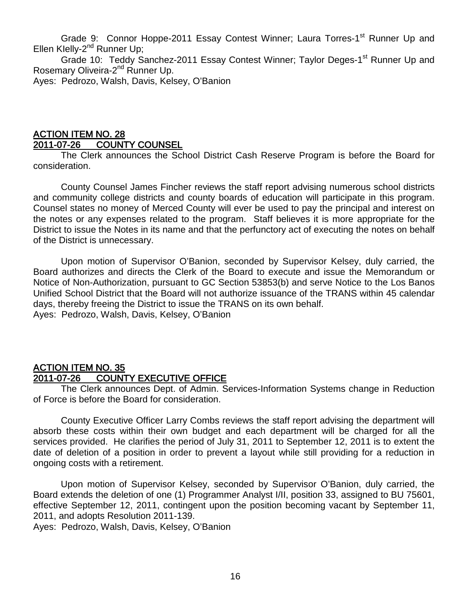Grade 9: Connor Hoppe-2011 Essay Contest Winner; Laura Torres-1<sup>st</sup> Runner Up and Ellen Klelly-2<sup>nd</sup> Runner Up;

Grade 10: Teddy Sanchez-2011 Essay Contest Winner; Taylor Deges-1<sup>st</sup> Runner Up and Rosemary Oliveira-2<sup>nd</sup> Runner Up.

Ayes: Pedrozo, Walsh, Davis, Kelsey, O'Banion

## ACTION ITEM NO. 28 2011-07-26 COUNTY COUNSEL

 The Clerk announces the School District Cash Reserve Program is before the Board for consideration.

County Counsel James Fincher reviews the staff report advising numerous school districts and community college districts and county boards of education will participate in this program. Counsel states no money of Merced County will ever be used to pay the principal and interest on the notes or any expenses related to the program. Staff believes it is more appropriate for the District to issue the Notes in its name and that the perfunctory act of executing the notes on behalf of the District is unnecessary.

Upon motion of Supervisor O'Banion, seconded by Supervisor Kelsey, duly carried, the Board authorizes and directs the Clerk of the Board to execute and issue the Memorandum or Notice of Non-Authorization, pursuant to GC Section 53853(b) and serve Notice to the Los Banos Unified School District that the Board will not authorize issuance of the TRANS within 45 calendar days, thereby freeing the District to issue the TRANS on its own behalf. Ayes: Pedrozo, Walsh, Davis, Kelsey, O'Banion

## ACTION ITEM NO. 35 2011-07-26 COUNTY EXECUTIVE OFFICE

 The Clerk announces Dept. of Admin. Services-Information Systems change in Reduction of Force is before the Board for consideration.

County Executive Officer Larry Combs reviews the staff report advising the department will absorb these costs within their own budget and each department will be charged for all the services provided. He clarifies the period of July 31, 2011 to September 12, 2011 is to extent the date of deletion of a position in order to prevent a layout while still providing for a reduction in ongoing costs with a retirement.

Upon motion of Supervisor Kelsey, seconded by Supervisor O'Banion, duly carried, the Board extends the deletion of one (1) Programmer Analyst I/II, position 33, assigned to BU 75601, effective September 12, 2011, contingent upon the position becoming vacant by September 11, 2011, and adopts Resolution 2011-139.

Ayes: Pedrozo, Walsh, Davis, Kelsey, O'Banion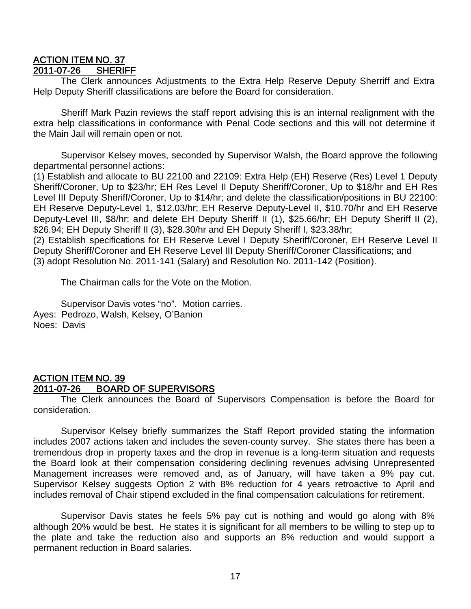## <u>ACTION ITEM NO. 37</u><br>2011-07-26 SHERIFF 2011-07-26

 The Clerk announces Adjustments to the Extra Help Reserve Deputy Sherriff and Extra Help Deputy Sheriff classifications are before the Board for consideration.

Sheriff Mark Pazin reviews the staff report advising this is an internal realignment with the extra help classifications in conformance with Penal Code sections and this will not determine if the Main Jail will remain open or not.

Supervisor Kelsey moves, seconded by Supervisor Walsh, the Board approve the following departmental personnel actions:

(1) Establish and allocate to BU 22100 and 22109: Extra Help (EH) Reserve (Res) Level 1 Deputy Sheriff/Coroner, Up to \$23/hr; EH Res Level II Deputy Sheriff/Coroner, Up to \$18/hr and EH Res Level III Deputy Sheriff/Coroner, Up to \$14/hr; and delete the classification/positions in BU 22100: EH Reserve Deputy-Level 1, \$12.03/hr; EH Reserve Deputy-Level II, \$10.70/hr and EH Reserve Deputy-Level III, \$8/hr; and delete EH Deputy Sheriff II (1), \$25.66/hr; EH Deputy Sheriff II (2), \$26.94; EH Deputy Sheriff II (3), \$28.30/hr and EH Deputy Sheriff I, \$23.38/hr;

(2) Establish specifications for EH Reserve Level I Deputy Sheriff/Coroner, EH Reserve Level II Deputy Sheriff/Coroner and EH Reserve Level III Deputy Sheriff/Coroner Classifications; and (3) adopt Resolution No. 2011-141 (Salary) and Resolution No. 2011-142 (Position).

The Chairman calls for the Vote on the Motion.

Supervisor Davis votes "no". Motion carries. Ayes: Pedrozo, Walsh, Kelsey, O'Banion Noes: Davis

## ACTION ITEM NO. 39 2011-07-26 BOARD OF SUPERVISORS

 The Clerk announces the Board of Supervisors Compensation is before the Board for consideration.

Supervisor Kelsey briefly summarizes the Staff Report provided stating the information includes 2007 actions taken and includes the seven-county survey. She states there has been a tremendous drop in property taxes and the drop in revenue is a long-term situation and requests the Board look at their compensation considering declining revenues advising Unrepresented Management increases were removed and, as of January, will have taken a 9% pay cut. Supervisor Kelsey suggests Option 2 with 8% reduction for 4 years retroactive to April and includes removal of Chair stipend excluded in the final compensation calculations for retirement.

Supervisor Davis states he feels 5% pay cut is nothing and would go along with 8% although 20% would be best. He states it is significant for all members to be willing to step up to the plate and take the reduction also and supports an 8% reduction and would support a permanent reduction in Board salaries.